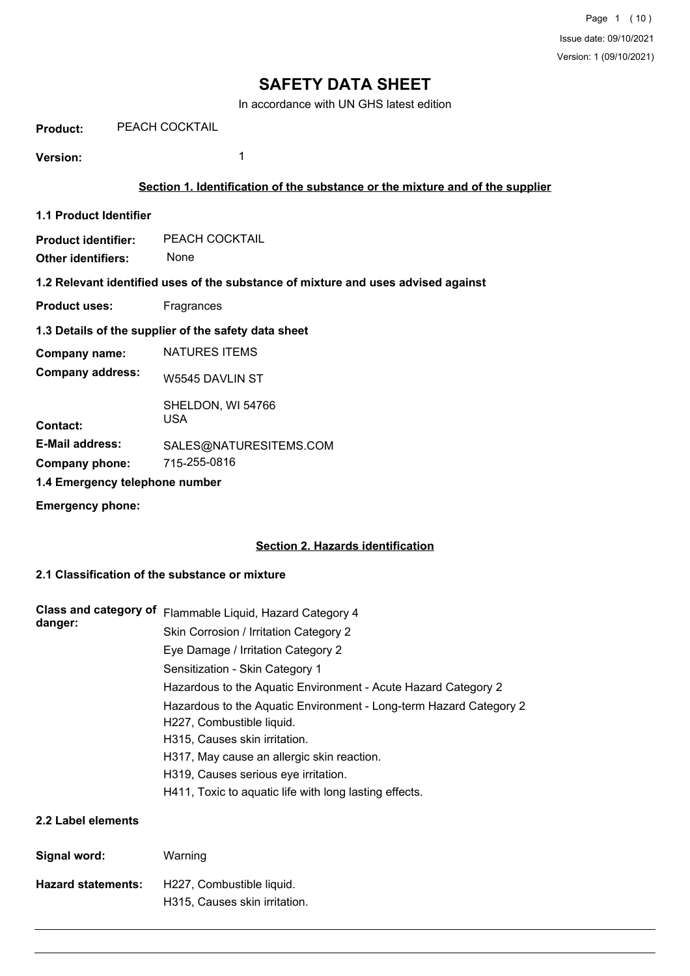In accordance with UN GHS latest edition

**Product:** PEACH COCKTAIL

**Version:** 1

# **Section 1. Identification of the substance or the mixture and of the supplier**

**1.1 Product Identifier**

**Product identifier:** PEACH COCKTAIL

**Other identifiers:** None

**1.2 Relevant identified uses of the substance of mixture and uses advised against**

**Product uses:** Fragrances

# **1.3 Details of the supplier of the safety data sheet**

| SALES@NATURESITEMS.COM |
|------------------------|
|                        |
|                        |
|                        |

**Emergency phone:**

# **Section 2. Hazards identification**

# **2.1 Classification of the substance or mixture**

| Class and category of     | Flammable Liquid, Hazard Category 4                                                             |
|---------------------------|-------------------------------------------------------------------------------------------------|
| danger:                   | Skin Corrosion / Irritation Category 2                                                          |
|                           | Eye Damage / Irritation Category 2                                                              |
|                           | Sensitization - Skin Category 1                                                                 |
|                           | Hazardous to the Aquatic Environment - Acute Hazard Category 2                                  |
|                           | Hazardous to the Aquatic Environment - Long-term Hazard Category 2<br>H227, Combustible liquid. |
|                           | H315, Causes skin irritation.                                                                   |
|                           | H317, May cause an allergic skin reaction.                                                      |
|                           | H319, Causes serious eye irritation.                                                            |
|                           | H411, Toxic to aquatic life with long lasting effects.                                          |
| 2.2 Label elements        |                                                                                                 |
| Signal word:              | Warning                                                                                         |
| <b>Hazard statements:</b> | H227, Combustible liquid.                                                                       |
|                           | H315, Causes skin irritation.                                                                   |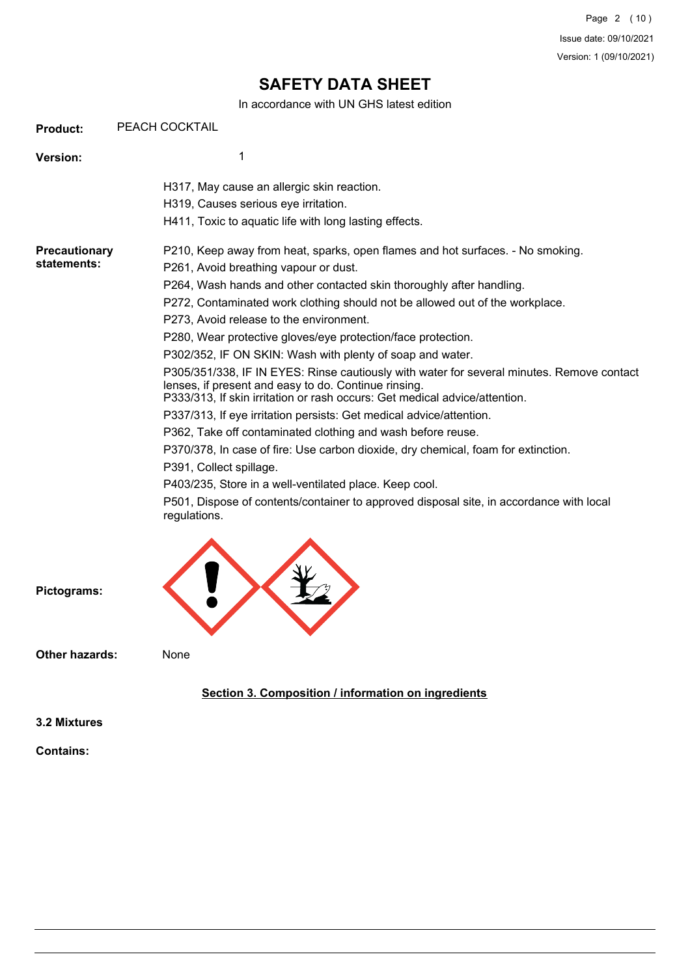In accordance with UN GHS latest edition

| <b>Product:</b>                     | PEACH COCKTAIL                                                                                                                                                                                                                                                                                                                                                                                                                                                                                                                                                                                                                                                                                                                                                                                                                                                                                                                                                                                                                                                                                                        |
|-------------------------------------|-----------------------------------------------------------------------------------------------------------------------------------------------------------------------------------------------------------------------------------------------------------------------------------------------------------------------------------------------------------------------------------------------------------------------------------------------------------------------------------------------------------------------------------------------------------------------------------------------------------------------------------------------------------------------------------------------------------------------------------------------------------------------------------------------------------------------------------------------------------------------------------------------------------------------------------------------------------------------------------------------------------------------------------------------------------------------------------------------------------------------|
| <b>Version:</b>                     | 1                                                                                                                                                                                                                                                                                                                                                                                                                                                                                                                                                                                                                                                                                                                                                                                                                                                                                                                                                                                                                                                                                                                     |
|                                     | H317, May cause an allergic skin reaction.<br>H319, Causes serious eye irritation.<br>H411, Toxic to aquatic life with long lasting effects.                                                                                                                                                                                                                                                                                                                                                                                                                                                                                                                                                                                                                                                                                                                                                                                                                                                                                                                                                                          |
| <b>Precautionary</b><br>statements: | P210, Keep away from heat, sparks, open flames and hot surfaces. - No smoking.<br>P261, Avoid breathing vapour or dust.<br>P264, Wash hands and other contacted skin thoroughly after handling.<br>P272, Contaminated work clothing should not be allowed out of the workplace.<br>P273, Avoid release to the environment.<br>P280, Wear protective gloves/eye protection/face protection.<br>P302/352, IF ON SKIN: Wash with plenty of soap and water.<br>P305/351/338, IF IN EYES: Rinse cautiously with water for several minutes. Remove contact<br>lenses, if present and easy to do. Continue rinsing.<br>P333/313, If skin irritation or rash occurs: Get medical advice/attention.<br>P337/313, If eye irritation persists: Get medical advice/attention.<br>P362, Take off contaminated clothing and wash before reuse.<br>P370/378, In case of fire: Use carbon dioxide, dry chemical, foam for extinction.<br>P391, Collect spillage.<br>P403/235, Store in a well-ventilated place. Keep cool.<br>P501, Dispose of contents/container to approved disposal site, in accordance with local<br>regulations. |



**Other hazards:** None

**Pictograms:**

# **Section 3. Composition / information on ingredients**

**3.2 Mixtures**

**Contains:**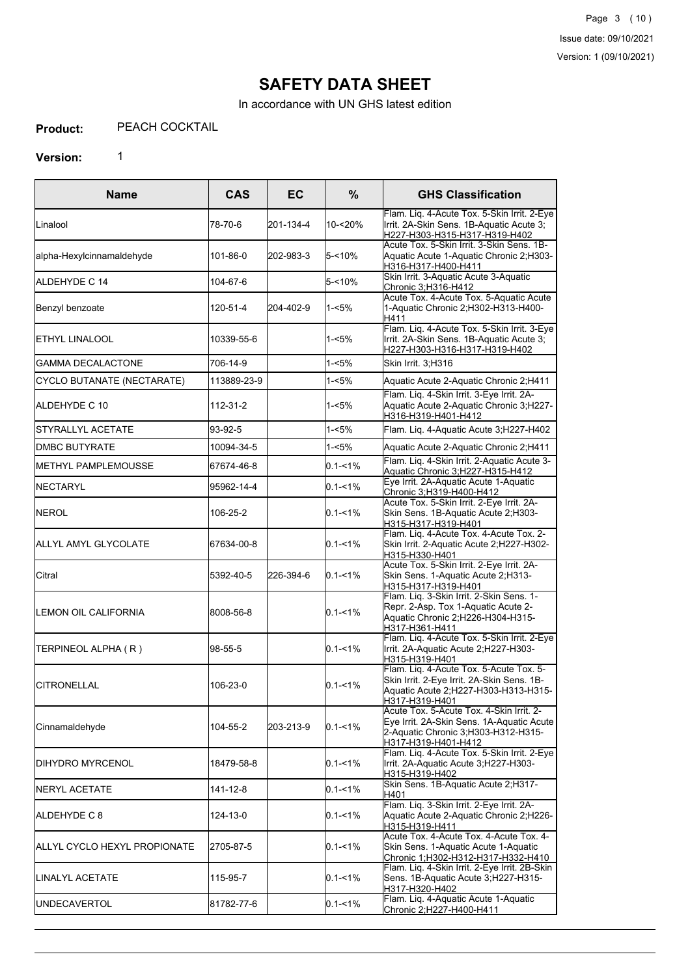In accordance with UN GHS latest edition

#### **Product:** PEACH COCKTAIL

# **Version:** 1

| <b>Name</b>                   | <b>CAS</b>  | EC        | $\%$        | <b>GHS Classification</b>                                                                                                                            |
|-------------------------------|-------------|-----------|-------------|------------------------------------------------------------------------------------------------------------------------------------------------------|
| Linalool                      | 78-70-6     | 201-134-4 | 10-<20%     | Flam. Liq. 4-Acute Tox. 5-Skin Irrit. 2-Eye<br>Irrit. 2A-Skin Sens. 1B-Aquatic Acute 3;<br>H227-H303-H315-H317-H319-H402                             |
| alpha-Hexylcinnamaldehyde     | 101-86-0    | 202-983-3 | 5-<10%      | Acute Tox, 5-Skin Irrit, 3-Skin Sens, 1B-<br>Aquatic Acute 1-Aquatic Chronic 2;H303-<br>H316-H317-H400-H411                                          |
| ALDEHYDE C 14                 | 104-67-6    |           | 5-<10%      | Skin Irrit. 3-Aquatic Acute 3-Aquatic<br>Chronic 3;H316-H412                                                                                         |
| Benzyl benzoate               | 120-51-4    | 204-402-9 | $1 - 5%$    | Acute Tox. 4-Acute Tox. 5-Aquatic Acute<br>1-Aquatic Chronic 2;H302-H313-H400-<br>H411                                                               |
| <b>ETHYL LINALOOL</b>         | 10339-55-6  |           | 1-<5%       | Flam. Liq. 4-Acute Tox. 5-Skin Irrit. 3-Eye<br>Irrit. 2A-Skin Sens. 1B-Aquatic Acute 3;<br>H227-H303-H316-H317-H319-H402                             |
| <b>GAMMA DECALACTONE</b>      | 706-14-9    |           | 1-<5%       | Skin Irrit. 3;H316                                                                                                                                   |
| CYCLO BUTANATE (NECTARATE)    | 113889-23-9 |           | 1-<5%       | Aquatic Acute 2-Aquatic Chronic 2;H411                                                                                                               |
| IALDEHYDE C 10                | 112-31-2    |           | 1-<5%       | Flam. Liq. 4-Skin Irrit. 3-Eye Irrit. 2A-<br>Aquatic Acute 2-Aquatic Chronic 3;H227-<br>H316-H319-H401-H412                                          |
| STYRALLYL ACETATE             | 93-92-5     |           | 1-<5%       | Flam. Lig. 4-Aquatic Acute 3;H227-H402                                                                                                               |
| <b>IDMBC BUTYRATE</b>         | 10094-34-5  |           | 1-<5%       | Aquatic Acute 2-Aquatic Chronic 2;H411                                                                                                               |
| <b>I</b> METHYL PAMPLEMOUSSE  | 67674-46-8  |           | $0.1 - 1\%$ | Flam. Liq. 4-Skin Irrit. 2-Aquatic Acute 3-<br>Aquatic Chronic 3;H227-H315-H412                                                                      |
| <b>INECTARYL</b>              | 95962-14-4  |           | $0.1 - 1\%$ | Eye Irrit. 2A-Aquatic Acute 1-Aquatic<br>Chronic 3;H319-H400-H412                                                                                    |
| NEROL                         | 106-25-2    |           | $0.1 - 1\%$ | Acute Tox. 5-Skin Irrit. 2-Eye Irrit. 2A-<br>Skin Sens. 1B-Aquatic Acute 2;H303-<br>H315-H317-H319-H401                                              |
| <b>I</b> ALLYL AMYL GLYCOLATE | 67634-00-8  |           | $0.1 - 1\%$ | Flam. Liq. 4-Acute Tox. 4-Acute Tox. 2-<br>Skin Irrit. 2-Aquatic Acute 2;H227-H302-<br>H315-H330-H401                                                |
| Citral                        | 5392-40-5   | 226-394-6 | $0.1 - 1\%$ | Acute Tox. 5-Skin Irrit. 2-Eye Irrit. 2A-<br>Skin Sens. 1-Aquatic Acute 2;H313-<br>H315-H317-H319-H401                                               |
| ILEMON OIL CALIFORNIA         | 8008-56-8   |           | $0.1 - 1%$  | Flam. Liq. 3-Skin Irrit. 2-Skin Sens. 1-<br>Repr. 2-Asp. Tox 1-Aquatic Acute 2-<br>Aquatic Chronic 2;H226-H304-H315-<br>H317-H361-H411               |
| TERPINEOL ALPHA (R)           | 98-55-5     |           | $0.1 - 1\%$ | Flam. Liq. 4-Acute Tox. 5-Skin Irrit. 2-Eye<br>Irrit. 2A-Aquatic Acute 2;H227-H303-<br>H315-H319-H401                                                |
| <b>CITRONELLAL</b>            | 106-23-0    |           | $0.1 - 1\%$ | Flam. Liq. 4-Acute Tox. 5-Acute Tox. 5-<br>Skin Irrit. 2-Eye Irrit. 2A-Skin Sens. 1B-<br>Aquatic Acute 2;H227-H303-H313-H315-<br>H317-H319-H401      |
| Cinnamaldehyde                | 104-55-2    | 203-213-9 | $0.1 - 1\%$ | Acute Tox. 5-Acute Tox. 4-Skin Irrit. 2-<br>Eye Irrit. 2A-Skin Sens. 1A-Aquatic Acute<br>2-Aquatic Chronic 3, H303-H312-H315-<br>H317-H319-H401-H412 |
| IDIHYDRO MYRCENOL             | 18479-58-8  |           | $0.1 - 1\%$ | Flam. Liq. 4-Acute Tox. 5-Skin Irrit. 2-Eye<br>Irrit. 2A-Aquatic Acute 3;H227-H303-<br>H315-H319-H402                                                |
| <b>INERYL ACETATE</b>         | 141-12-8    |           | $0.1 - 1\%$ | Skin Sens. 1B-Aquatic Acute 2;H317-<br>H401                                                                                                          |
| IALDEHYDE C 8                 | 124-13-0    |           | $0.1 - 1%$  | Flam. Liq. 3-Skin Irrit. 2-Eye Irrit. 2A-<br>Aquatic Acute 2-Aquatic Chronic 2;H226-<br>H315-H319-H411                                               |
| ALLYL CYCLO HEXYL PROPIONATE  | 2705-87-5   |           | $0.1 - 1\%$ | Acute Tox. 4-Acute Tox. 4-Acute Tox. 4-<br>Skin Sens. 1-Aquatic Acute 1-Aquatic<br>Chronic 1; H302-H312-H317-H332-H410                               |
| ILINALYL ACETATE              | 115-95-7    |           | $0.1 - 1\%$ | Flam. Liq. 4-Skin Irrit. 2-Eye Irrit. 2B-Skin<br>Sens. 1B-Aquatic Acute 3;H227-H315-<br>H317-H320-H402                                               |
| <b>UNDECAVERTOL</b>           | 81782-77-6  |           | $0.1 - 1%$  | Flam. Liq. 4-Aquatic Acute 1-Aquatic<br>Chronic 2;H227-H400-H411                                                                                     |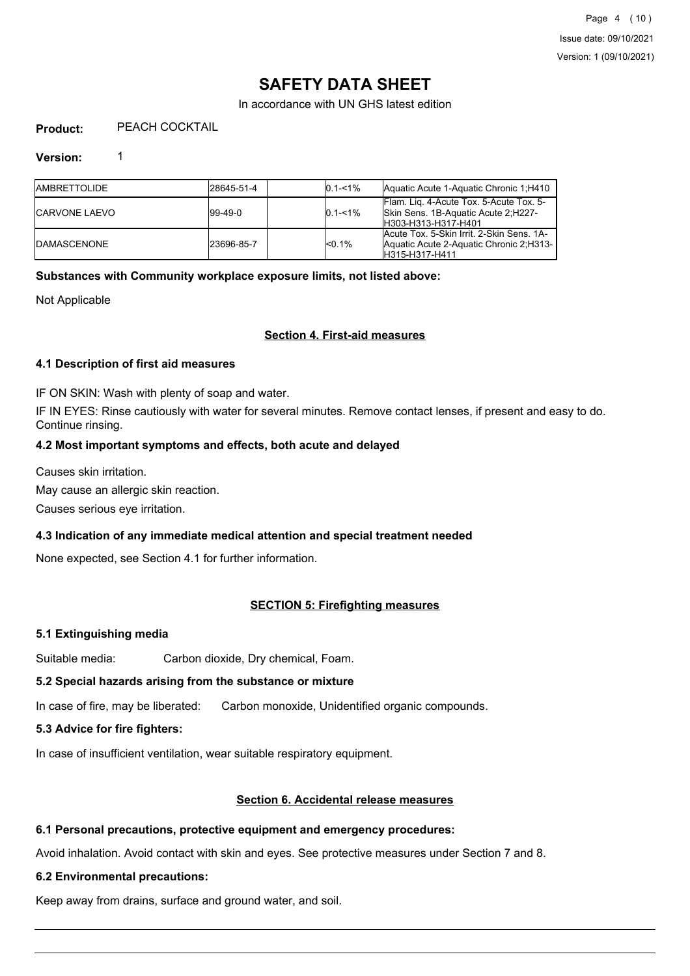In accordance with UN GHS latest edition

#### **Product:** PEACH COCKTAIL

# **Version:** 1

| <b>IAMBRETTOLIDE</b>  | l28645-51-4    | $10.1 - 1\%$ | Aquatic Acute 1-Aquatic Chronic 1; H410                                                                  |
|-----------------------|----------------|--------------|----------------------------------------------------------------------------------------------------------|
| <b>ICARVONE LAEVO</b> | $199 - 49 - 0$ | $10.1 - 1\%$ | Flam. Lig. 4-Acute Tox. 5-Acute Tox. 5-<br>Skin Sens. 1B-Aquatic Acute 2, H227-<br>IH303-H313-H317-H401  |
| <b>IDAMASCENONE</b>   | 23696-85-7     | $1 < 0.1\%$  | Acute Tox. 5-Skin Irrit. 2-Skin Sens. 1A-<br>Aquatic Acute 2-Aquatic Chronic 2, H313-<br>IH315-H317-H411 |

# **Substances with Community workplace exposure limits, not listed above:**

Not Applicable

# **Section 4. First-aid measures**

# **4.1 Description of first aid measures**

IF ON SKIN: Wash with plenty of soap and water.

IF IN EYES: Rinse cautiously with water for several minutes. Remove contact lenses, if present and easy to do. Continue rinsing.

# **4.2 Most important symptoms and effects, both acute and delayed**

Causes skin irritation.

May cause an allergic skin reaction.

Causes serious eye irritation.

### **4.3 Indication of any immediate medical attention and special treatment needed**

None expected, see Section 4.1 for further information.

# **SECTION 5: Firefighting measures**

### **5.1 Extinguishing media**

Suitable media: Carbon dioxide, Dry chemical, Foam.

# **5.2 Special hazards arising from the substance or mixture**

In case of fire, may be liberated: Carbon monoxide, Unidentified organic compounds.

### **5.3 Advice for fire fighters:**

In case of insufficient ventilation, wear suitable respiratory equipment.

### **Section 6. Accidental release measures**

### **6.1 Personal precautions, protective equipment and emergency procedures:**

Avoid inhalation. Avoid contact with skin and eyes. See protective measures under Section 7 and 8.

### **6.2 Environmental precautions:**

Keep away from drains, surface and ground water, and soil.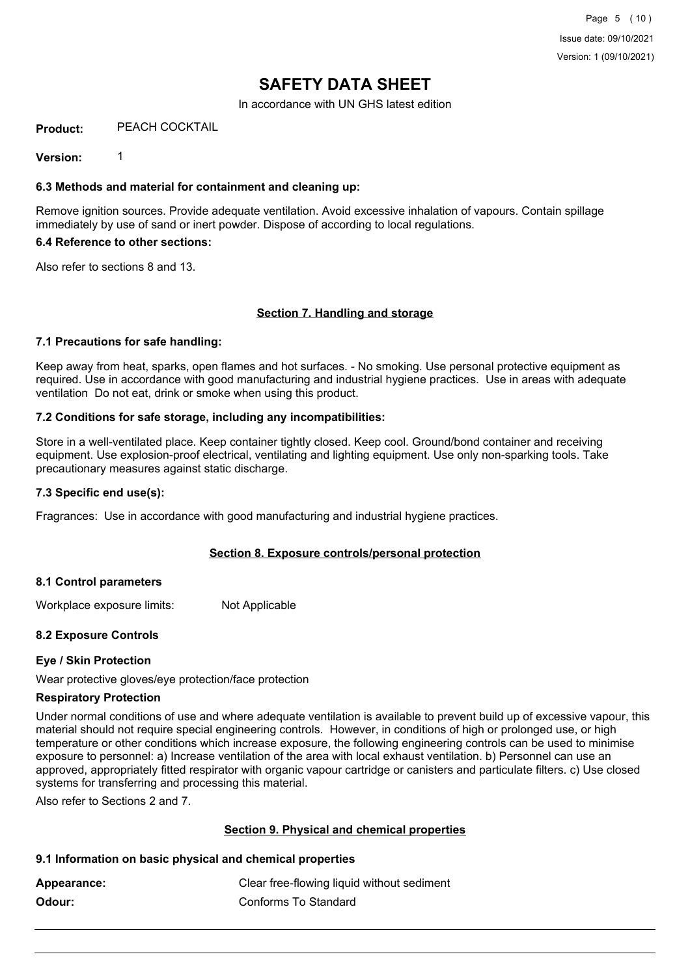In accordance with UN GHS latest edition

#### **Product:** PEACH COCKTAIL

**Version:** 1

### **6.3 Methods and material for containment and cleaning up:**

Remove ignition sources. Provide adequate ventilation. Avoid excessive inhalation of vapours. Contain spillage immediately by use of sand or inert powder. Dispose of according to local regulations.

#### **6.4 Reference to other sections:**

Also refer to sections 8 and 13.

# **Section 7. Handling and storage**

### **7.1 Precautions for safe handling:**

Keep away from heat, sparks, open flames and hot surfaces. - No smoking. Use personal protective equipment as required. Use in accordance with good manufacturing and industrial hygiene practices. Use in areas with adequate ventilation Do not eat, drink or smoke when using this product.

# **7.2 Conditions for safe storage, including any incompatibilities:**

Store in a well-ventilated place. Keep container tightly closed. Keep cool. Ground/bond container and receiving equipment. Use explosion-proof electrical, ventilating and lighting equipment. Use only non-sparking tools. Take precautionary measures against static discharge.

### **7.3 Specific end use(s):**

Fragrances: Use in accordance with good manufacturing and industrial hygiene practices.

### **Section 8. Exposure controls/personal protection**

### **8.1 Control parameters**

Workplace exposure limits: Not Applicable

### **8.2 Exposure Controls**

### **Eye / Skin Protection**

Wear protective gloves/eye protection/face protection

### **Respiratory Protection**

Under normal conditions of use and where adequate ventilation is available to prevent build up of excessive vapour, this material should not require special engineering controls. However, in conditions of high or prolonged use, or high temperature or other conditions which increase exposure, the following engineering controls can be used to minimise exposure to personnel: a) Increase ventilation of the area with local exhaust ventilation. b) Personnel can use an approved, appropriately fitted respirator with organic vapour cartridge or canisters and particulate filters. c) Use closed systems for transferring and processing this material.

Also refer to Sections 2 and 7.

### **Section 9. Physical and chemical properties**

### **9.1 Information on basic physical and chemical properties**

| Appearance: | Clear free-flowing liquid without sediment |
|-------------|--------------------------------------------|
| Odour:      | Conforms To Standard                       |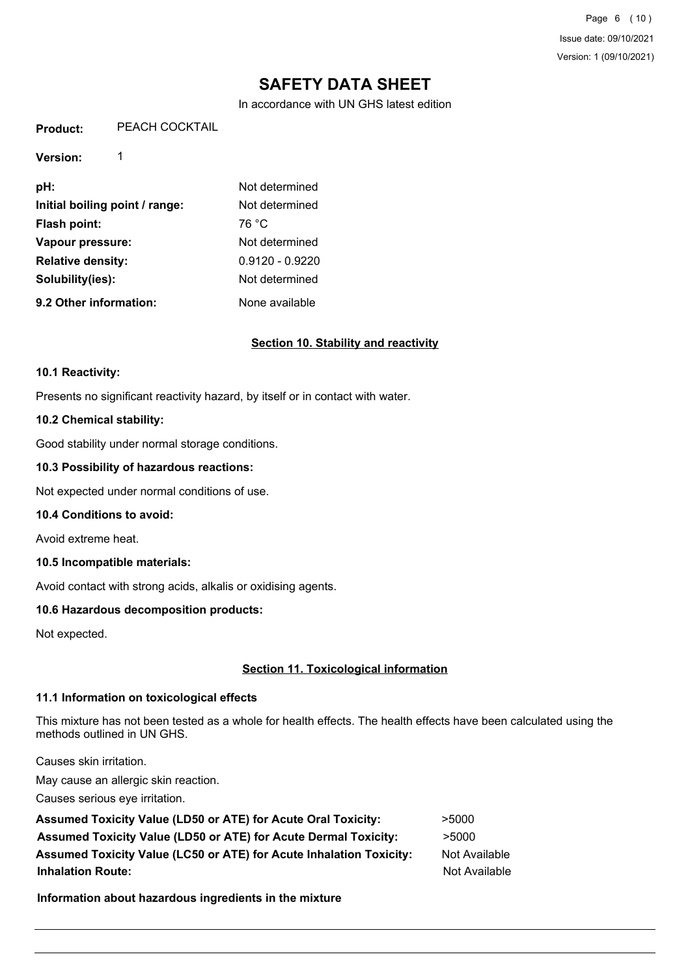In accordance with UN GHS latest edition

**Product:** PEACH COCKTAIL

**Version:** 1

**pH:** Not determined **Initial boiling point / range:** Not determined Flash point: 76 °C **Vapour pressure:** Not determined **Relative density:** 0.9120 - 0.9220 **Solubility(ies):** Not determined **9.2 Other information:** None available

# **Section 10. Stability and reactivity**

#### **10.1 Reactivity:**

Presents no significant reactivity hazard, by itself or in contact with water.

### **10.2 Chemical stability:**

Good stability under normal storage conditions.

### **10.3 Possibility of hazardous reactions:**

Not expected under normal conditions of use.

#### **10.4 Conditions to avoid:**

Avoid extreme heat.

### **10.5 Incompatible materials:**

Avoid contact with strong acids, alkalis or oxidising agents.

# **10.6 Hazardous decomposition products:**

Not expected.

# **Section 11. Toxicological information**

### **11.1 Information on toxicological effects**

This mixture has not been tested as a whole for health effects. The health effects have been calculated using the methods outlined in UN GHS.

Causes skin irritation.

May cause an allergic skin reaction.

Causes serious eye irritation.

| <b>Assumed Toxicity Value (LD50 or ATE) for Acute Oral Toxicity:</b>       | >5000         |
|----------------------------------------------------------------------------|---------------|
| <b>Assumed Toxicity Value (LD50 or ATE) for Acute Dermal Toxicity:</b>     | >5000         |
| <b>Assumed Toxicity Value (LC50 or ATE) for Acute Inhalation Toxicity:</b> | Not Available |
| <b>Inhalation Route:</b>                                                   | Not Available |

**Information about hazardous ingredients in the mixture**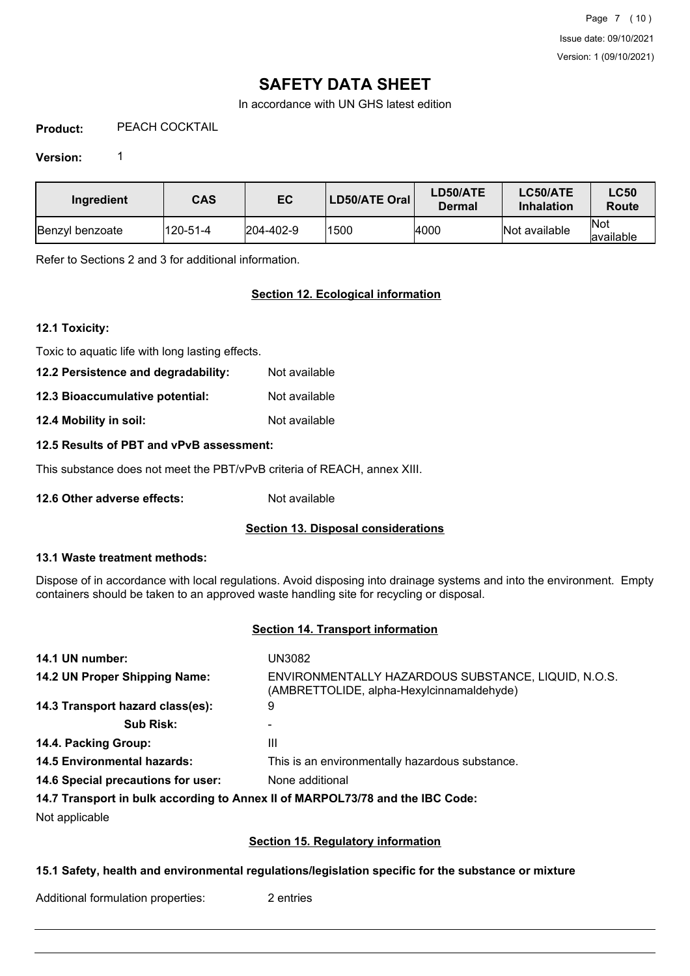In accordance with UN GHS latest edition

**Product:** PEACH COCKTAIL

# **Version:** 1

| Ingredient      | <b>CAS</b> | EC                | LD50/ATE Oral | LD50/ATE<br>Dermal | LC50/ATE<br><b>Inhalation</b> | <b>LC50</b><br>Route |
|-----------------|------------|-------------------|---------------|--------------------|-------------------------------|----------------------|
| Benzyl benzoate | 120-51-4   | $ 204 - 402 - 9 $ | 1500          | 4000               | Not available                 | lNot<br>lavailable   |

Refer to Sections 2 and 3 for additional information.

# **Section 12. Ecological information**

# **12.1 Toxicity:**

Toxic to aquatic life with long lasting effects.

**12.2 Persistence and degradability:** Not available

**12.3 Bioaccumulative potential:** Not available

**12.4 Mobility in soil:** Not available

### **12.5 Results of PBT and vPvB assessment:**

This substance does not meet the PBT/vPvB criteria of REACH, annex XIII.

**12.6 Other adverse effects:** Not available

### **Section 13. Disposal considerations**

### **13.1 Waste treatment methods:**

Dispose of in accordance with local regulations. Avoid disposing into drainage systems and into the environment. Empty containers should be taken to an approved waste handling site for recycling or disposal.

# **Section 14. Transport information**

| 14.1 UN number:                    | UN3082                                                                                           |
|------------------------------------|--------------------------------------------------------------------------------------------------|
| 14.2 UN Proper Shipping Name:      | ENVIRONMENTALLY HAZARDOUS SUBSTANCE, LIQUID, N.O.S.<br>(AMBRETTOLIDE, alpha-Hexylcinnamaldehyde) |
| 14.3 Transport hazard class(es):   | 9                                                                                                |
| <b>Sub Risk:</b>                   |                                                                                                  |
| 14.4. Packing Group:               | Ш                                                                                                |
| <b>14.5 Environmental hazards:</b> | This is an environmentally hazardous substance.                                                  |
| 14.6 Special precautions for user: | None additional                                                                                  |
|                                    | 14.7 Transport in bulk according to Annex II of MARPOL73/78 and the IBC Code:                    |

Not applicable

### **Section 15. Regulatory information**

# **15.1 Safety, health and environmental regulations/legislation specific for the substance or mixture**

Additional formulation properties: 2 entries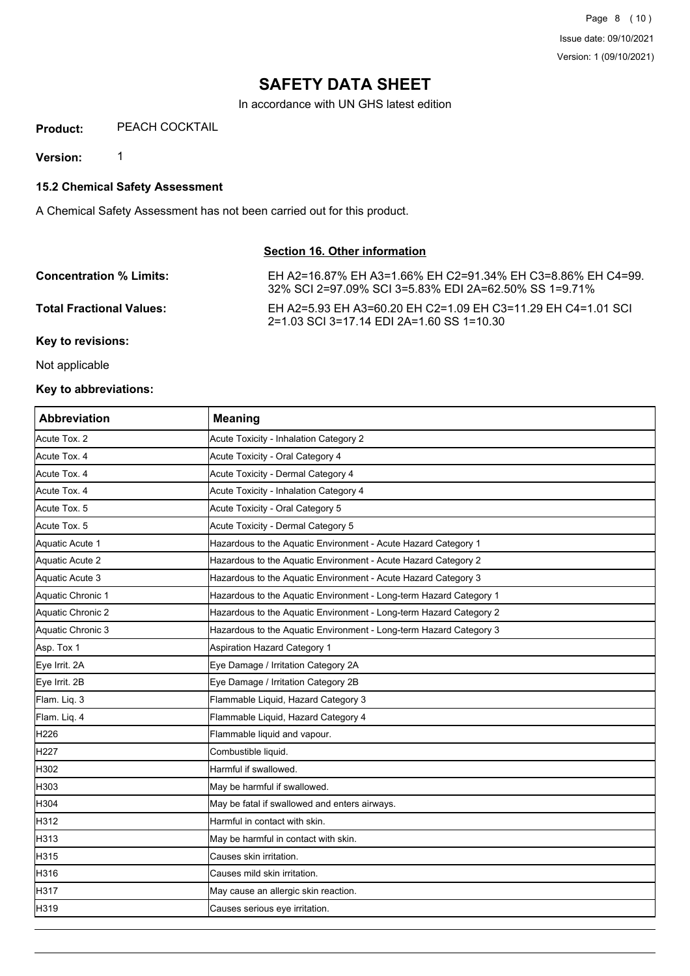In accordance with UN GHS latest edition

**Product:** PEACH COCKTAIL

**Version:** 1

**15.2 Chemical Safety Assessment**

A Chemical Safety Assessment has not been carried out for this product.

# **Section 16. Other information**

| <b>Concentration % Limits:</b>  | EH A2=16.87% EH A3=1.66% EH C2=91.34% EH C3=8.86% EH C4=99.<br>32% SCI 2=97.09% SCI 3=5.83% EDI 2A=62.50% SS 1=9.71% |
|---------------------------------|----------------------------------------------------------------------------------------------------------------------|
| <b>Total Fractional Values:</b> | EH A2=5.93 EH A3=60.20 EH C2=1.09 EH C3=11.29 EH C4=1.01 SCL<br>2=1.03 SCI 3=17.14 EDI 2A=1.60 SS 1=10.30            |

**Key to revisions:**

Not applicable

# **Key to abbreviations:**

| <b>Abbreviation</b> | <b>Meaning</b>                                                     |
|---------------------|--------------------------------------------------------------------|
| Acute Tox. 2        | Acute Toxicity - Inhalation Category 2                             |
| Acute Tox. 4        | Acute Toxicity - Oral Category 4                                   |
| Acute Tox. 4        | Acute Toxicity - Dermal Category 4                                 |
| Acute Tox. 4        | Acute Toxicity - Inhalation Category 4                             |
| Acute Tox. 5        | Acute Toxicity - Oral Category 5                                   |
| Acute Tox. 5        | Acute Toxicity - Dermal Category 5                                 |
| Aquatic Acute 1     | Hazardous to the Aquatic Environment - Acute Hazard Category 1     |
| Aquatic Acute 2     | Hazardous to the Aquatic Environment - Acute Hazard Category 2     |
| Aquatic Acute 3     | Hazardous to the Aquatic Environment - Acute Hazard Category 3     |
| Aquatic Chronic 1   | Hazardous to the Aquatic Environment - Long-term Hazard Category 1 |
| Aquatic Chronic 2   | Hazardous to the Aquatic Environment - Long-term Hazard Category 2 |
| Aquatic Chronic 3   | Hazardous to the Aquatic Environment - Long-term Hazard Category 3 |
| Asp. Tox 1          | <b>Aspiration Hazard Category 1</b>                                |
| Eye Irrit. 2A       | Eye Damage / Irritation Category 2A                                |
| Eye Irrit. 2B       | Eye Damage / Irritation Category 2B                                |
| Flam. Liq. 3        | Flammable Liquid, Hazard Category 3                                |
| Flam. Liq. 4        | Flammable Liquid, Hazard Category 4                                |
| H <sub>226</sub>    | Flammable liquid and vapour.                                       |
| H <sub>227</sub>    | Combustible liquid.                                                |
| H302                | Harmful if swallowed.                                              |
| H303                | May be harmful if swallowed.                                       |
| H304                | May be fatal if swallowed and enters airways.                      |
| H312                | Harmful in contact with skin.                                      |
| H313                | May be harmful in contact with skin.                               |
| H315                | Causes skin irritation.                                            |
| H316                | Causes mild skin irritation.                                       |
| H317                | May cause an allergic skin reaction.                               |
| H319                | Causes serious eye irritation.                                     |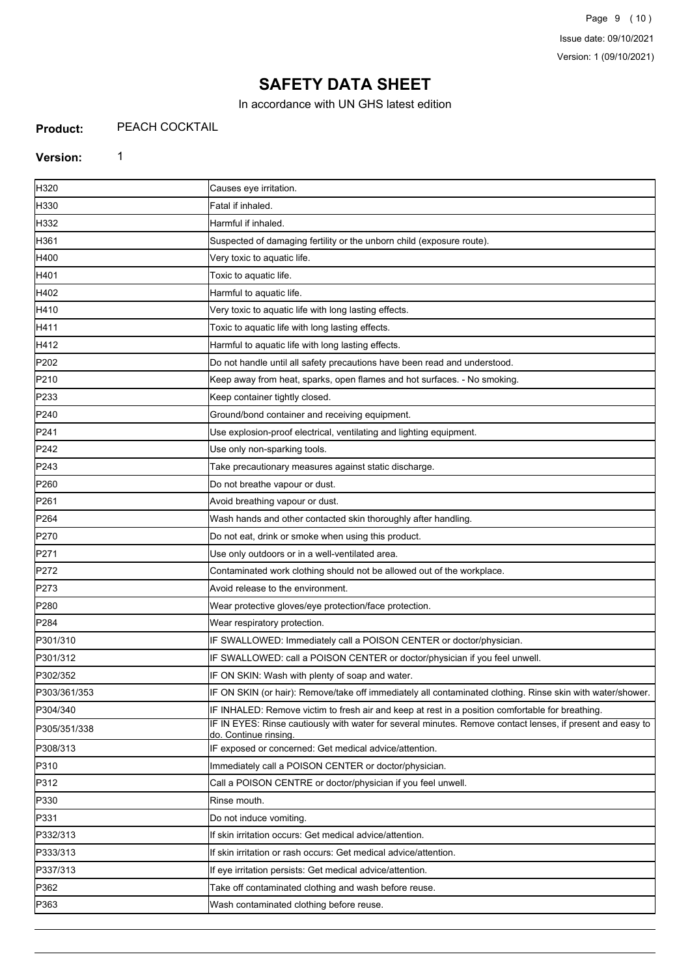In accordance with UN GHS latest edition

#### **Product:** PEACH COCKTAIL

# **Version:** 1

| H320             | Causes eye irritation.                                                                                                              |
|------------------|-------------------------------------------------------------------------------------------------------------------------------------|
| H330             | Fatal if inhaled.                                                                                                                   |
| H332             | Harmful if inhaled.                                                                                                                 |
| H361             | Suspected of damaging fertility or the unborn child (exposure route).                                                               |
| H400             | Very toxic to aquatic life.                                                                                                         |
| H401             | Toxic to aquatic life.                                                                                                              |
| H402             | Harmful to aquatic life.                                                                                                            |
| H410             | Very toxic to aquatic life with long lasting effects.                                                                               |
| H411             | Toxic to aquatic life with long lasting effects.                                                                                    |
| H412             | Harmful to aquatic life with long lasting effects.                                                                                  |
| P202             | Do not handle until all safety precautions have been read and understood.                                                           |
| P210             | Keep away from heat, sparks, open flames and hot surfaces. - No smoking.                                                            |
| P233             | Keep container tightly closed.                                                                                                      |
| P240             | Ground/bond container and receiving equipment.                                                                                      |
| P241             | Use explosion-proof electrical, ventilating and lighting equipment.                                                                 |
| P242             | Use only non-sparking tools.                                                                                                        |
| P243             | Take precautionary measures against static discharge.                                                                               |
| P <sub>260</sub> | Do not breathe vapour or dust.                                                                                                      |
| P261             | Avoid breathing vapour or dust.                                                                                                     |
| P <sub>264</sub> | Wash hands and other contacted skin thoroughly after handling.                                                                      |
| P270             | Do not eat, drink or smoke when using this product.                                                                                 |
| P271             | Use only outdoors or in a well-ventilated area.                                                                                     |
| P272             | Contaminated work clothing should not be allowed out of the workplace.                                                              |
| P273             | Avoid release to the environment.                                                                                                   |
| P280             | Wear protective gloves/eye protection/face protection.                                                                              |
| P <sub>284</sub> | Wear respiratory protection.                                                                                                        |
| P301/310         | IF SWALLOWED: Immediately call a POISON CENTER or doctor/physician.                                                                 |
| P301/312         | IF SWALLOWED: call a POISON CENTER or doctor/physician if you feel unwell.                                                          |
| P302/352         | IF ON SKIN: Wash with plenty of soap and water.                                                                                     |
| P303/361/353     | IF ON SKIN (or hair): Remove/take off immediately all contaminated clothing. Rinse skin with water/shower.                          |
| P304/340         | IF INHALED: Remove victim to fresh air and keep at rest in a position comfortable for breathing.                                    |
| P305/351/338     | IF IN EYES: Rinse cautiously with water for several minutes. Remove contact lenses, if present and easy to<br>do. Continue rinsing. |
| P308/313         | IF exposed or concerned: Get medical advice/attention.                                                                              |
| P310             | Immediately call a POISON CENTER or doctor/physician.                                                                               |
| P312             | Call a POISON CENTRE or doctor/physician if you feel unwell.                                                                        |
| P330             | Rinse mouth.                                                                                                                        |
| P331             | Do not induce vomiting.                                                                                                             |
| P332/313         | If skin irritation occurs: Get medical advice/attention.                                                                            |
| P333/313         | If skin irritation or rash occurs: Get medical advice/attention.                                                                    |
| P337/313         | If eye irritation persists: Get medical advice/attention.                                                                           |
| P362             | Take off contaminated clothing and wash before reuse.                                                                               |
| P363             | Wash contaminated clothing before reuse.                                                                                            |
|                  |                                                                                                                                     |